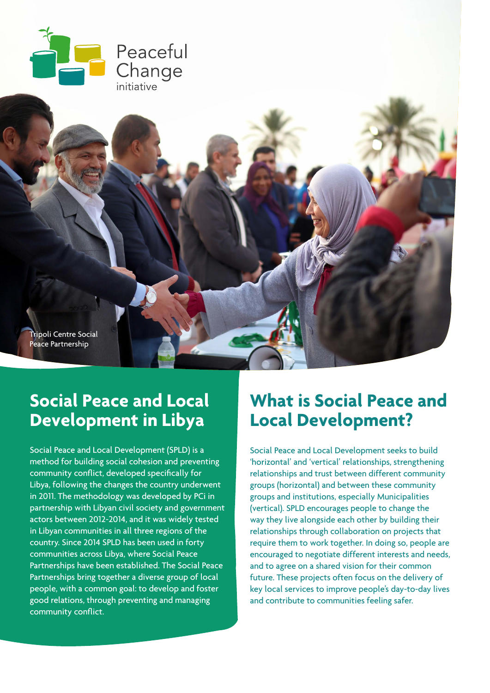

Tripoli Centre Social Peace Partnership

## **Social Peace and Local Development in Libya**

Social Peace and Local Development (SPLD) is a method for building social cohesion and preventing community conflict, developed specifically for Libya, following the changes the country underwent in 2011. The methodology was developed by PCi in partnership with Libyan civil society and government actors between 2012-2014, and it was widely tested in Libyan communities in all three regions of the country. Since 2014 SPLD has been used in forty communities across Libya, where Social Peace Partnerships have been established. The Social Peace Partnerships bring together a diverse group of local people, with a common goal: to develop and foster good relations, through preventing and managing community conflict.

## **What is Social Peace and Local Development?**

Social Peace and Local Development seeks to build 'horizontal' and 'vertical' relationships, strengthening relationships and trust between different community groups (horizontal) and between these community groups and institutions, especially Municipalities (vertical). SPLD encourages people to change the way they live alongside each other by building their relationships through collaboration on projects that require them to work together. In doing so, people are encouraged to negotiate different interests and needs, and to agree on a shared vision for their common future. These projects often focus on the delivery of key local services to improve people's day-to-day lives and contribute to communities feeling safer.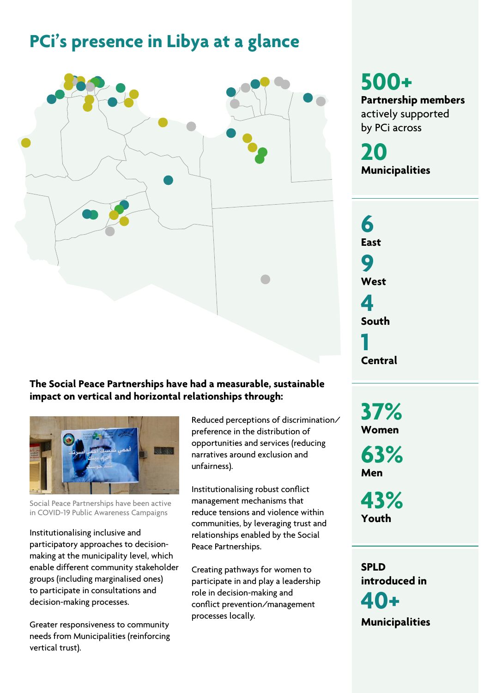## **PCi's presence in Libya at a glance**



#### **The Social Peace Partnerships have had a measurable, sustainable impact on vertical and horizontal relationships through:**



Social Peace Partnerships have been active in COVID-19 Public Awareness Campaigns

Institutionalising inclusive and participatory approaches to decisionmaking at the municipality level, which enable different community stakeholder groups (including marginalised ones) to participate in consultations and decision-making processes.

Greater responsiveness to community needs from Municipalities (reinforcing vertical trust).

Reduced perceptions of discrimination/ preference in the distribution of opportunities and services (reducing narratives around exclusion and unfairness).

Institutionalising robust conflict management mechanisms that reduce tensions and violence within communities, by leveraging trust and relationships enabled by the Social Peace Partnerships.

Creating pathways for women to participate in and play a leadership role in decision-making and conflict prevention/management processes locally.

**500+ Partnership members**  actively supported by PCi across

**20 Municipalities**

**6 East 9 West 4 South 1 Central**

**37% Women 63%**

**Men** 

**43% Youth**

**SPLD introduced in 40+ Municipalities**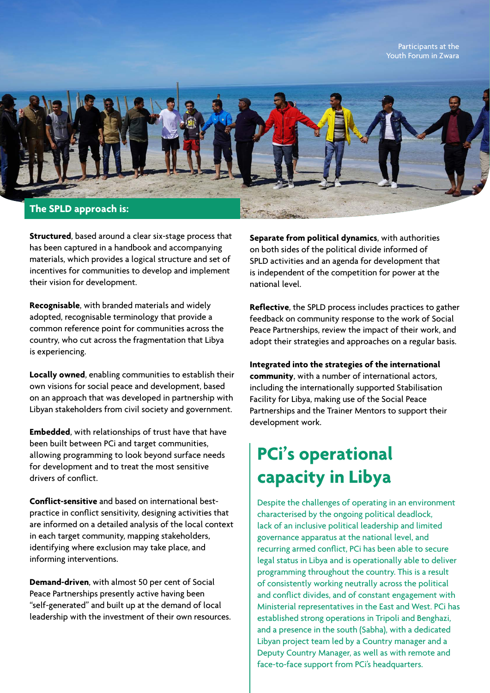Participants at the Youth Forum in Zwara



**Structured**, based around a clear six-stage process that has been captured in a handbook and accompanying materials, which provides a logical structure and set of incentives for communities to develop and implement their vision for development.

**Recognisable**, with branded materials and widely adopted, recognisable terminology that provide a common reference point for communities across the country, who cut across the fragmentation that Libya is experiencing.

**Locally owned**, enabling communities to establish their own visions for social peace and development, based on an approach that was developed in partnership with Libyan stakeholders from civil society and government.

**Embedded**, with relationships of trust have that have been built between PCi and target communities, allowing programming to look beyond surface needs for development and to treat the most sensitive drivers of conflict.

**Conflict-sensitive** and based on international bestpractice in conflict sensitivity, designing activities that are informed on a detailed analysis of the local context in each target community, mapping stakeholders, identifying where exclusion may take place, and informing interventions.

**Demand-driven**, with almost 50 per cent of Social Peace Partnerships presently active having been "self-generated" and built up at the demand of local leadership with the investment of their own resources. **Separate from political dynamics**, with authorities on both sides of the political divide informed of SPLD activities and an agenda for development that is independent of the competition for power at the national level.

**Reflective**, the SPLD process includes practices to gather feedback on community response to the work of Social Peace Partnerships, review the impact of their work, and adopt their strategies and approaches on a regular basis.

**Integrated into the strategies of the international community**, with a number of international actors, including the internationally supported Stabilisation Facility for Libya, making use of the Social Peace Partnerships and the Trainer Mentors to support their development work.

## **PCi's operational capacity in Libya**

Despite the challenges of operating in an environment characterised by the ongoing political deadlock, lack of an inclusive political leadership and limited governance apparatus at the national level, and recurring armed conflict, PCi has been able to secure legal status in Libya and is operationally able to deliver programming throughout the country. This is a result of consistently working neutrally across the political and conflict divides, and of constant engagement with Ministerial representatives in the East and West. PCi has established strong operations in Tripoli and Benghazi, and a presence in the south (Sabha), with a dedicated Libyan project team led by a Country manager and a Deputy Country Manager, as well as with remote and face-to-face support from PCi's headquarters.